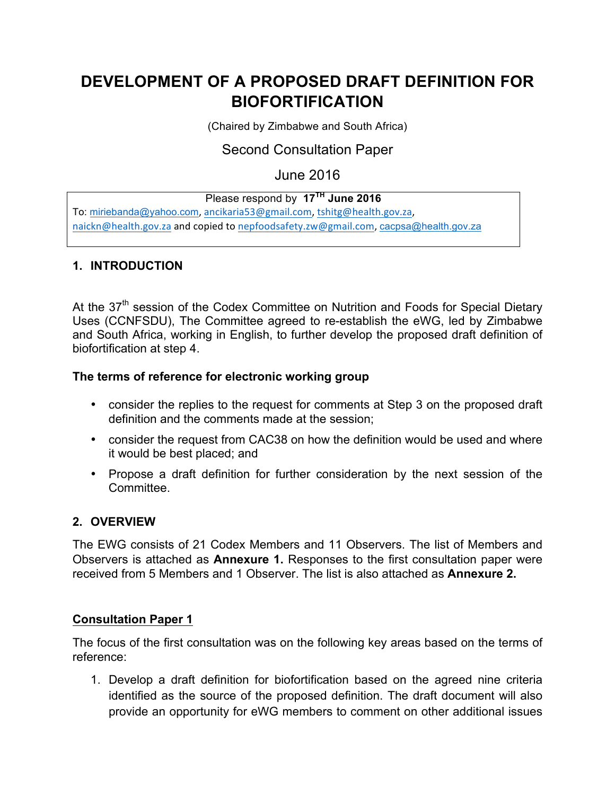# **DEVELOPMENT OF A PROPOSED DRAFT DEFINITION FOR BIOFORTIFICATION**

(Chaired by Zimbabwe and South Africa)

## Second Consultation Paper

June 2016

### Please respond by **17TH June 2016**

To: miriebanda@yahoo.com, ancikaria53@gmail.com, tshitg@health.gov.za, naickn@health.gov.za and copied to nepfoodsafety.zw@gmail.com, cacpsa@health.gov.za

#### **1. INTRODUCTION**

At the 37<sup>th</sup> session of the Codex Committee on Nutrition and Foods for Special Dietary Uses (CCNFSDU), The Committee agreed to re-establish the eWG, led by Zimbabwe and South Africa, working in English, to further develop the proposed draft definition of biofortification at step 4.

#### **The terms of reference for electronic working group**

- consider the replies to the request for comments at Step 3 on the proposed draft definition and the comments made at the session;
- consider the request from CAC38 on how the definition would be used and where it would be best placed; and
- Propose a draft definition for further consideration by the next session of the **Committee.**

#### **2. OVERVIEW**

The EWG consists of 21 Codex Members and 11 Observers. The list of Members and Observers is attached as **Annexure 1.** Responses to the first consultation paper were received from 5 Members and 1 Observer. The list is also attached as **Annexure 2.**

#### **Consultation Paper 1**

The focus of the first consultation was on the following key areas based on the terms of reference:

1. Develop a draft definition for biofortification based on the agreed nine criteria identified as the source of the proposed definition. The draft document will also provide an opportunity for eWG members to comment on other additional issues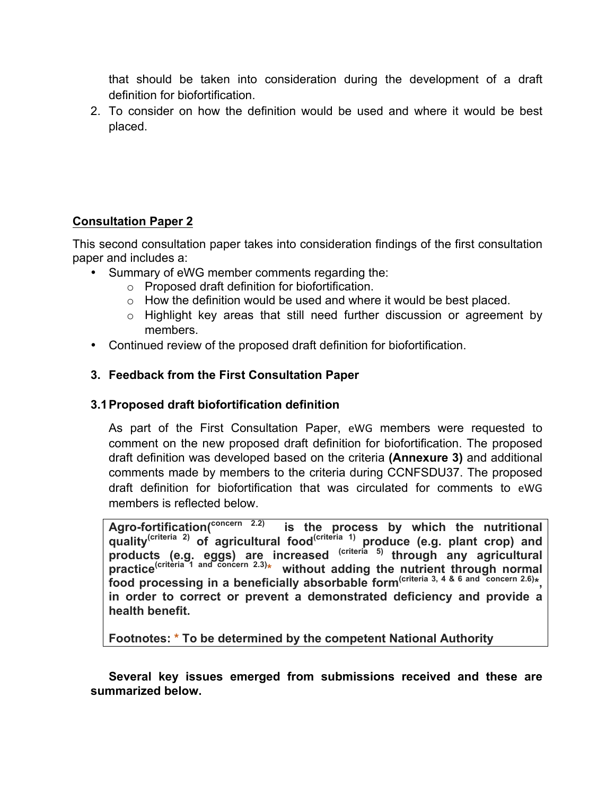that should be taken into consideration during the development of a draft definition for biofortification.

2. To consider on how the definition would be used and where it would be best placed.

### **Consultation Paper 2**

This second consultation paper takes into consideration findings of the first consultation paper and includes a:

- Summary of eWG member comments regarding the:
	- o Proposed draft definition for biofortification.
	- $\circ$  How the definition would be used and where it would be best placed.
	- o Highlight key areas that still need further discussion or agreement by members.
- Continued review of the proposed draft definition for biofortification.

### **3. Feedback from the First Consultation Paper**

#### **3.1Proposed draft biofortification definition**

As part of the First Consultation Paper, eWG members were requested to comment on the new proposed draft definition for biofortification. The proposed draft definition was developed based on the criteria **(Annexure 3)** and additional comments made by members to the criteria during CCNFSDU37. The proposed draft definition for biofortification that was circulated for comments to eWG members is reflected below.

**Agro-fortification(concern 2.2) is the process by which the nutritional quality(criteria 2) of agricultural food(criteria 1) produce (e.g. plant crop) and products (e.g. eggs) are increased (criteria 5) through any agricultural practice(criteria 1 and concern 2.3)\* without adding the nutrient through normal food processing in a beneficially absorbable form(criteria 3, 4 & 6 and concern 2.6)\*, in order to correct or prevent a demonstrated deficiency and provide a health benefit.** 

**Footnotes: \* To be determined by the competent National Authority**

**Several key issues emerged from submissions received and these are summarized below.**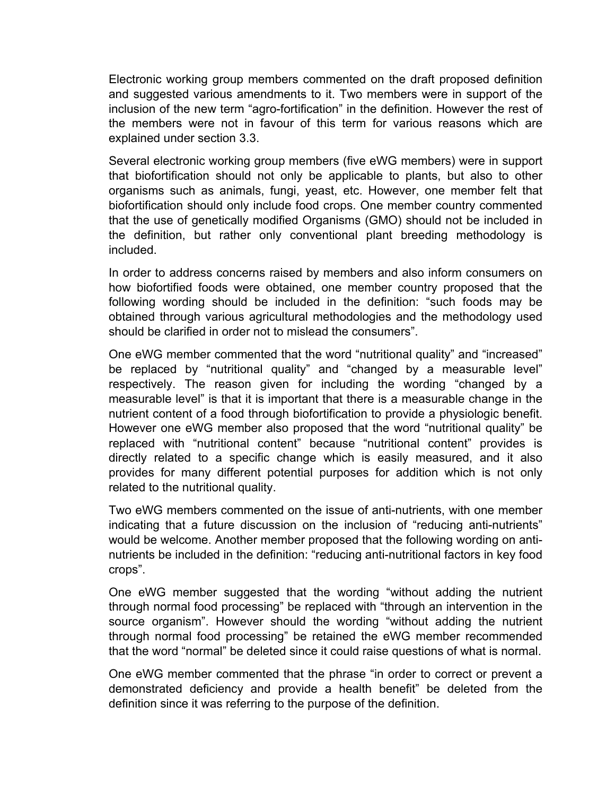Electronic working group members commented on the draft proposed definition and suggested various amendments to it. Two members were in support of the inclusion of the new term "agro-fortification" in the definition. However the rest of the members were not in favour of this term for various reasons which are explained under section 3.3.

Several electronic working group members (five eWG members) were in support that biofortification should not only be applicable to plants, but also to other organisms such as animals, fungi, yeast, etc. However, one member felt that biofortification should only include food crops. One member country commented that the use of genetically modified Organisms (GMO) should not be included in the definition, but rather only conventional plant breeding methodology is included.

In order to address concerns raised by members and also inform consumers on how biofortified foods were obtained, one member country proposed that the following wording should be included in the definition: "such foods may be obtained through various agricultural methodologies and the methodology used should be clarified in order not to mislead the consumers".

One eWG member commented that the word "nutritional quality" and "increased" be replaced by "nutritional quality" and "changed by a measurable level" respectively. The reason given for including the wording "changed by a measurable level" is that it is important that there is a measurable change in the nutrient content of a food through biofortification to provide a physiologic benefit. However one eWG member also proposed that the word "nutritional quality" be replaced with "nutritional content" because "nutritional content" provides is directly related to a specific change which is easily measured, and it also provides for many different potential purposes for addition which is not only related to the nutritional quality.

Two eWG members commented on the issue of anti-nutrients, with one member indicating that a future discussion on the inclusion of "reducing anti-nutrients" would be welcome. Another member proposed that the following wording on antinutrients be included in the definition: "reducing anti-nutritional factors in key food crops".

One eWG member suggested that the wording "without adding the nutrient through normal food processing" be replaced with "through an intervention in the source organism". However should the wording "without adding the nutrient through normal food processing" be retained the eWG member recommended that the word "normal" be deleted since it could raise questions of what is normal.

One eWG member commented that the phrase "in order to correct or prevent a demonstrated deficiency and provide a health benefit" be deleted from the definition since it was referring to the purpose of the definition.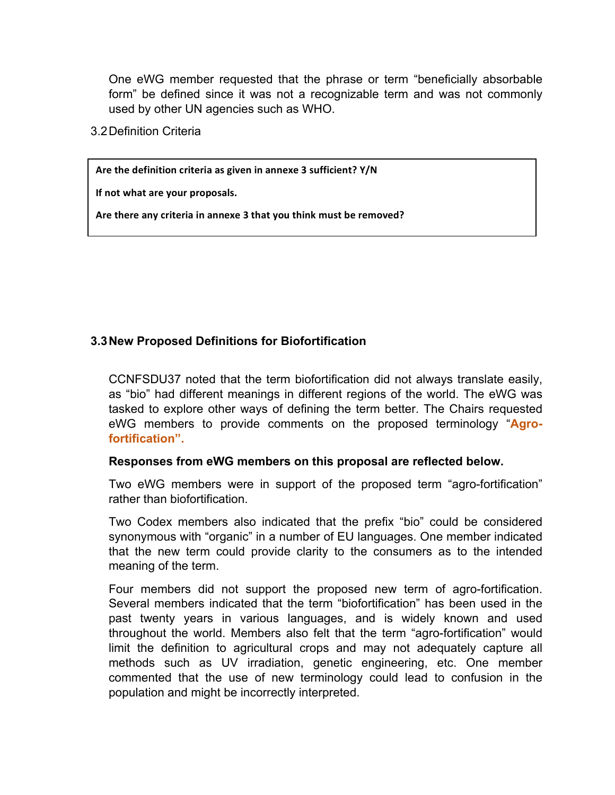One eWG member requested that the phrase or term "beneficially absorbable form" be defined since it was not a recognizable term and was not commonly used by other UN agencies such as WHO.

3.2Definition Criteria

Are the definition criteria as given in annexe 3 sufficient? Y/N

**If not what are your proposals.** 

Are there any criteria in annexe 3 that you think must be removed?

#### **3.3New Proposed Definitions for Biofortification**

CCNFSDU37 noted that the term biofortification did not always translate easily, as "bio" had different meanings in different regions of the world. The eWG was tasked to explore other ways of defining the term better. The Chairs requested eWG members to provide comments on the proposed terminology "**Agrofortification".**

#### **Responses from eWG members on this proposal are reflected below.**

Two eWG members were in support of the proposed term "agro-fortification" rather than biofortification.

Two Codex members also indicated that the prefix "bio" could be considered synonymous with "organic" in a number of EU languages. One member indicated that the new term could provide clarity to the consumers as to the intended meaning of the term.

Four members did not support the proposed new term of agro-fortification. Several members indicated that the term "biofortification" has been used in the past twenty years in various languages, and is widely known and used throughout the world. Members also felt that the term "agro-fortification" would limit the definition to agricultural crops and may not adequately capture all methods such as UV irradiation, genetic engineering, etc. One member commented that the use of new terminology could lead to confusion in the population and might be incorrectly interpreted.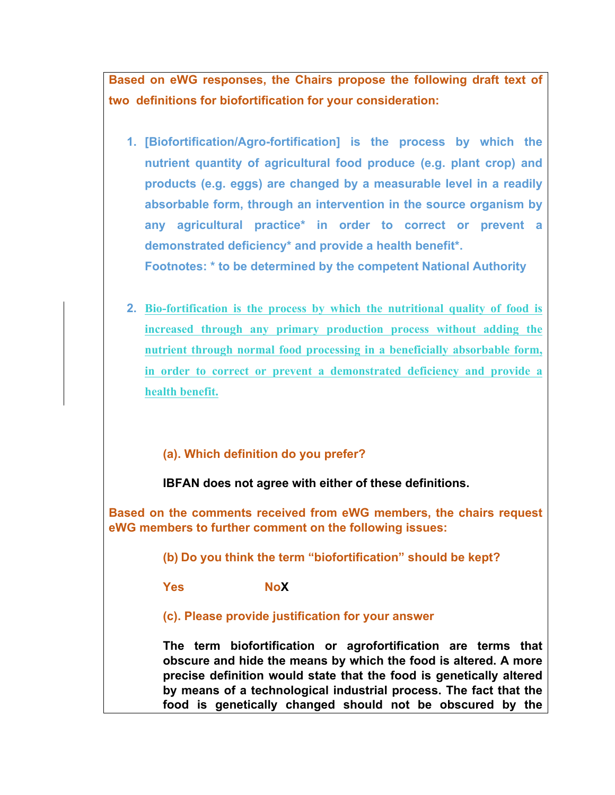**Based on eWG responses, the Chairs propose the following draft text of two definitions for biofortification for your consideration:**

- **1. [Biofortification/Agro-fortification] is the process by which the nutrient quantity of agricultural food produce (e.g. plant crop) and products (e.g. eggs) are changed by a measurable level in a readily absorbable form, through an intervention in the source organism by any agricultural practice\* in order to correct or prevent a demonstrated deficiency\* and provide a health benefit\*. Footnotes: \* to be determined by the competent National Authority**
- **2. Bio-fortification is the process by which the nutritional quality of food is increased through any primary production process without adding the nutrient through normal food processing in a beneficially absorbable form, in order to correct or prevent a demonstrated deficiency and provide a health benefit.**

### **(a). Which definition do you prefer?**

**IBFAN does not agree with either of these definitions.** 

**Based on the comments received from eWG members, the chairs request eWG members to further comment on the following issues:** 

**(b) Do you think the term "biofortification" should be kept?**

**Yes NoX**

**(c). Please provide justification for your answer**

**The term biofortification or agrofortification are terms that obscure and hide the means by which the food is altered. A more precise definition would state that the food is genetically altered by means of a technological industrial process. The fact that the food is genetically changed should not be obscured by the**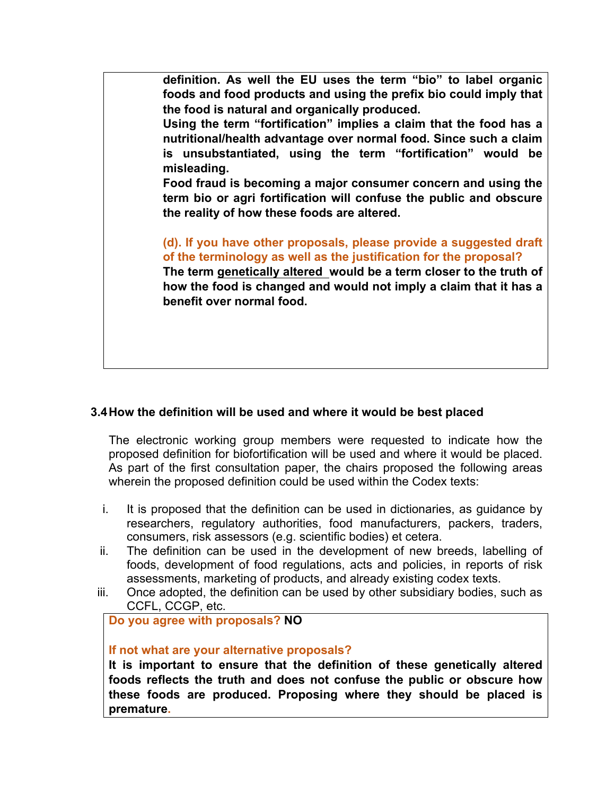**definition. As well the EU uses the term "bio" to label organic foods and food products and using the prefix bio could imply that the food is natural and organically produced.** 

**Using the term "fortification" implies a claim that the food has a nutritional/health advantage over normal food. Since such a claim is unsubstantiated, using the term "fortification" would be misleading.**

**Food fraud is becoming a major consumer concern and using the term bio or agri fortification will confuse the public and obscure the reality of how these foods are altered.**

**(d). If you have other proposals, please provide a suggested draft of the terminology as well as the justification for the proposal? The term genetically altered would be a term closer to the truth of how the food is changed and would not imply a claim that it has a benefit over normal food.**

#### **3.4How the definition will be used and where it would be best placed**

The electronic working group members were requested to indicate how the proposed definition for biofortification will be used and where it would be placed. As part of the first consultation paper, the chairs proposed the following areas wherein the proposed definition could be used within the Codex texts:

- i. It is proposed that the definition can be used in dictionaries, as guidance by researchers, regulatory authorities, food manufacturers, packers, traders, consumers, risk assessors (e.g. scientific bodies) et cetera.
- ii. The definition can be used in the development of new breeds, labelling of foods, development of food regulations, acts and policies, in reports of risk assessments, marketing of products, and already existing codex texts.
- iii. Once adopted, the definition can be used by other subsidiary bodies, such as CCFL, CCGP, etc.

#### **Do you agree with proposals? NO**

#### **If not what are your alternative proposals?**

**It is important to ensure that the definition of these genetically altered foods reflects the truth and does not confuse the public or obscure how these foods are produced. Proposing where they should be placed is premature.**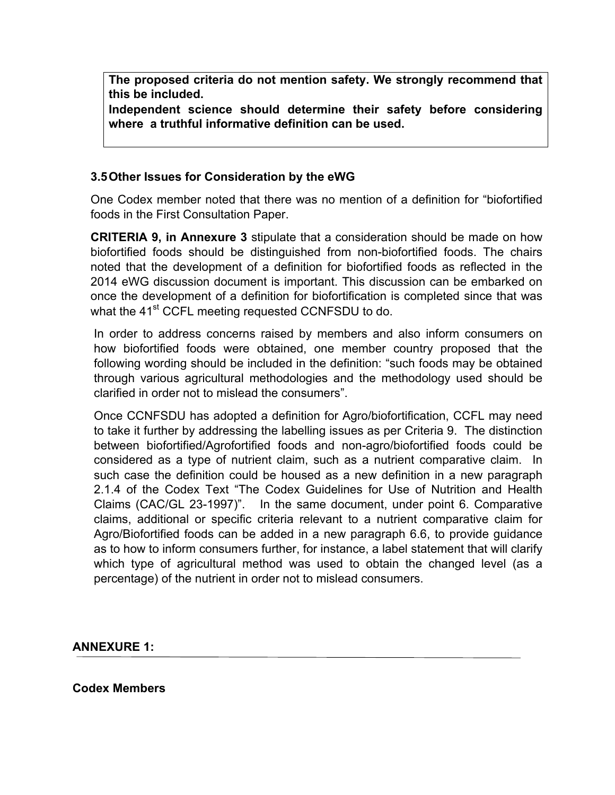**The proposed criteria do not mention safety. We strongly recommend that this be included.**

**Independent science should determine their safety before considering where a truthful informative definition can be used.**

#### **3.5Other Issues for Consideration by the eWG**

One Codex member noted that there was no mention of a definition for "biofortified foods in the First Consultation Paper.

**CRITERIA 9, in Annexure 3** stipulate that a consideration should be made on how biofortified foods should be distinguished from non-biofortified foods. The chairs noted that the development of a definition for biofortified foods as reflected in the 2014 eWG discussion document is important. This discussion can be embarked on once the development of a definition for biofortification is completed since that was what the 41<sup>st</sup> CCFL meeting requested CCNFSDU to do.

In order to address concerns raised by members and also inform consumers on how biofortified foods were obtained, one member country proposed that the following wording should be included in the definition: "such foods may be obtained through various agricultural methodologies and the methodology used should be clarified in order not to mislead the consumers".

Once CCNFSDU has adopted a definition for Agro/biofortification, CCFL may need to take it further by addressing the labelling issues as per Criteria 9. The distinction between biofortified/Agrofortified foods and non-agro/biofortified foods could be considered as a type of nutrient claim, such as a nutrient comparative claim. In such case the definition could be housed as a new definition in a new paragraph 2.1.4 of the Codex Text "The Codex Guidelines for Use of Nutrition and Health Claims (CAC/GL 23-1997)". In the same document, under point 6. Comparative claims, additional or specific criteria relevant to a nutrient comparative claim for Agro/Biofortified foods can be added in a new paragraph 6.6, to provide guidance as to how to inform consumers further, for instance, a label statement that will clarify which type of agricultural method was used to obtain the changed level (as a percentage) of the nutrient in order not to mislead consumers.

#### **ANNEXURE 1:**

#### **Codex Members**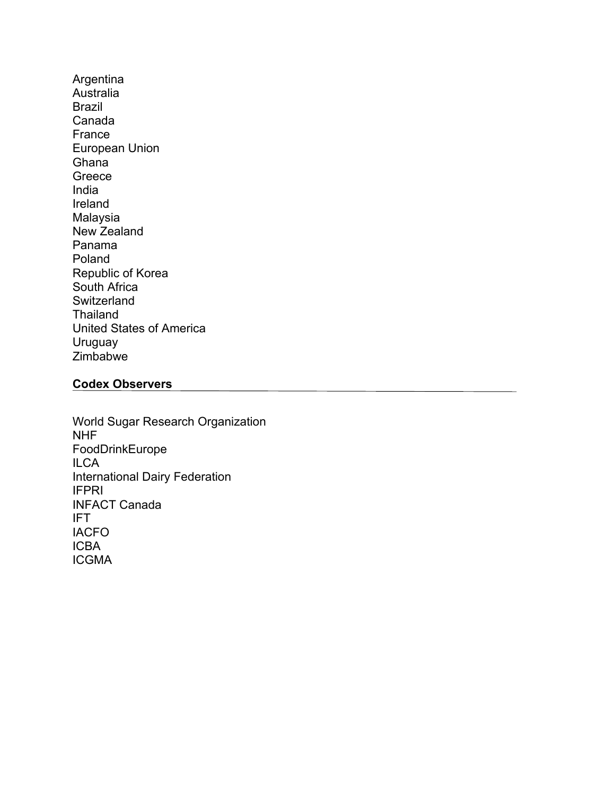Argentina Australia Brazil Canada France European Union **Ghana** Greece India Ireland Malaysia New Zealand Panama Poland Republic of Korea South Africa Switzerland Thailand United States of America Uruguay Zimbabwe

#### **Codex Observers**

World Sugar Research Organization NHF FoodDrinkEurope **ILCA** International Dairy Federation IFPRI INFACT Canada IFT IACFO ICBA ICGMA